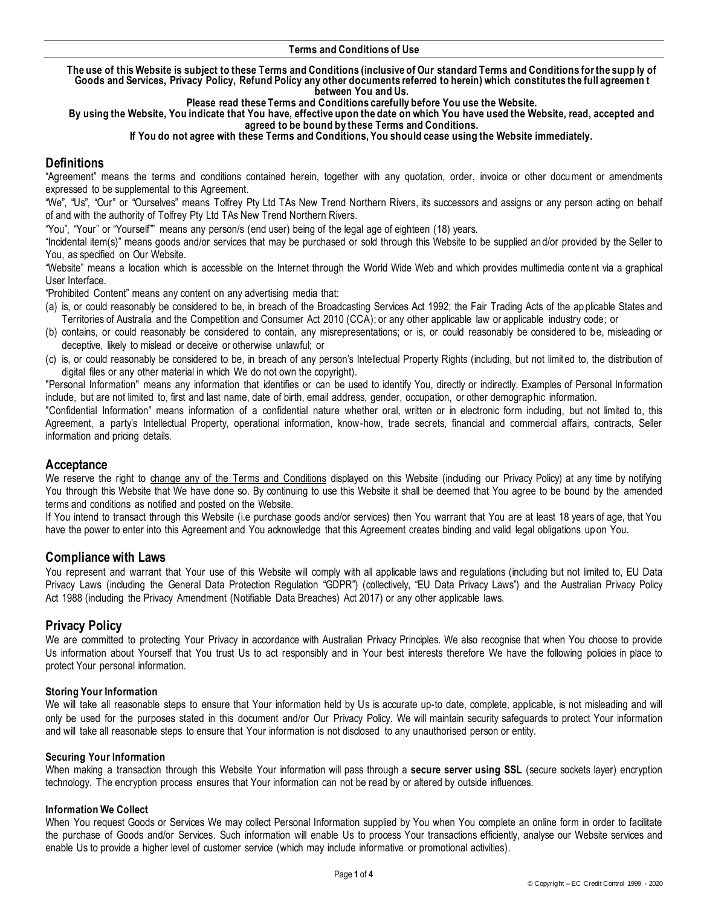**The use of this Website is subject to these Terms and Conditions (inclusive of Our standard Terms and Conditions for the supp ly of Goods and Services, Privacy Policy, Refund Policy any other documents referred to herein) which constitutes the full agreemen t between You and Us.** 

**Please read these Terms and Conditions carefully before You use the Website.** 

**By using the Website, You indicate that You have, effective upon the date on which You have used the Website, read, accepted and agreed to be bound by these Terms and Conditions.**

### **If You do not agree with these Terms and Conditions, You should cease using the Website immediately.**

# **Definitions**

"Agreement" means the terms and conditions contained herein, together with any quotation, order, invoice or other document or amendments expressed to be supplemental to this Agreement.

"We", "Us", "Our" or "Ourselves" means Tolfrey Pty Ltd TAs New Trend Northern Rivers, its successors and assigns or any person acting on behalf of and with the authority of Tolfrey Pty Ltd TAs New Trend Northern Rivers.

"You", "Your" or "Yourself"" means any person/s (end user) being of the legal age of eighteen (18) years.

"Incidental item(s)" means goods and/or services that may be purchased or sold through this Website to be supplied and/or provided by the Seller to You, as specified on Our Website.

"Website" means a location which is accessible on the Internet through the World Wide Web and which provides multimedia conte nt via a graphical User Interface.

"Prohibited Content" means any content on any advertising media that:

- (a) is, or could reasonably be considered to be, in breach of the Broadcasting Services Act 1992; the Fair Trading Acts of the ap plicable States and Territories of Australia and the Competition and Consumer Act 2010 (CCA); or any other applicable law or applicable industry code; or
- (b) contains, or could reasonably be considered to contain, any misrepresentations; or is, or could reasonably be considered to be, misleading or deceptive, likely to mislead or deceive or otherwise unlawful; or
- (c) is, or could reasonably be considered to be, in breach of any person's Intellectual Property Rights (including, but not limited to, the distribution of digital files or any other material in which We do not own the copyright).

"Personal Information" means any information that identifies or can be used to identify You, directly or indirectly. Examples of Personal Information include, but are not limited to, first and last name, date of birth, email address, gender, occupation, or other demographic information.

"Confidential Information" means information of a confidential nature whether oral, written or in electronic form including, but not limited to, this Agreement, a party's Intellectual Property, operational information, know-how, trade secrets, financial and commercial affairs, contracts, Seller information and pricing details.

## **Acceptance**

We reserve the right to change any of the Terms and Conditions displayed on this Website (including our Privacy Policy) at any time by notifying You through this Website that We have done so. By continuing to use this Website it shall be deemed that You agree to be bound by the amended terms and conditions as notified and posted on the Website.

If You intend to transact through this Website (i.e purchase goods and/or services) then You warrant that You are at least 18 years of age, that You have the power to enter into this Agreement and You acknowledge that this Agreement creates binding and valid legal obligations up on You.

## **Compliance with Laws**

You represent and warrant that Your use of this Website will comply with all applicable laws and regulations (including but not limited to, EU Data Privacy Laws (including the General Data Protection Regulation "GDPR") (collectively, "EU Data Privacy Laws") and the Australian Privacy Policy Act 1988 (including the Privacy Amendment (Notifiable Data Breaches) Act 2017) or any other applicable laws.

## **Privacy Policy**

We are committed to protecting Your Privacy in accordance with Australian Privacy Principles. We also recognise that when You choose to provide Us information about Yourself that You trust Us to act responsibly and in Your best interests therefore We have the following policies in place to protect Your personal information.

## **Storing Your Information**

We will take all reasonable steps to ensure that Your information held by Us is accurate up-to date, complete, applicable, is not misleading and will only be used for the purposes stated in this document and/or Our Privacy Policy. We will maintain security safeguards to protect Your information and will take all reasonable steps to ensure that Your information is not disclosed to any unauthorised person or entity.

## **Securing Your Information**

When making a transaction through this Website Your information will pass through a **secure server using SSL** (secure sockets layer) encryption technology. The encryption process ensures that Your information can not be read by or altered by outside influences.

## **Information We Collect**

When You request Goods or Services We may collect Personal Information supplied by You when You complete an online form in order to facilitate the purchase of Goods and/or Services. Such information will enable Us to process Your transactions efficiently, analyse our Website services and enable Us to provide a higher level of customer service (which may include informative or promotional activities).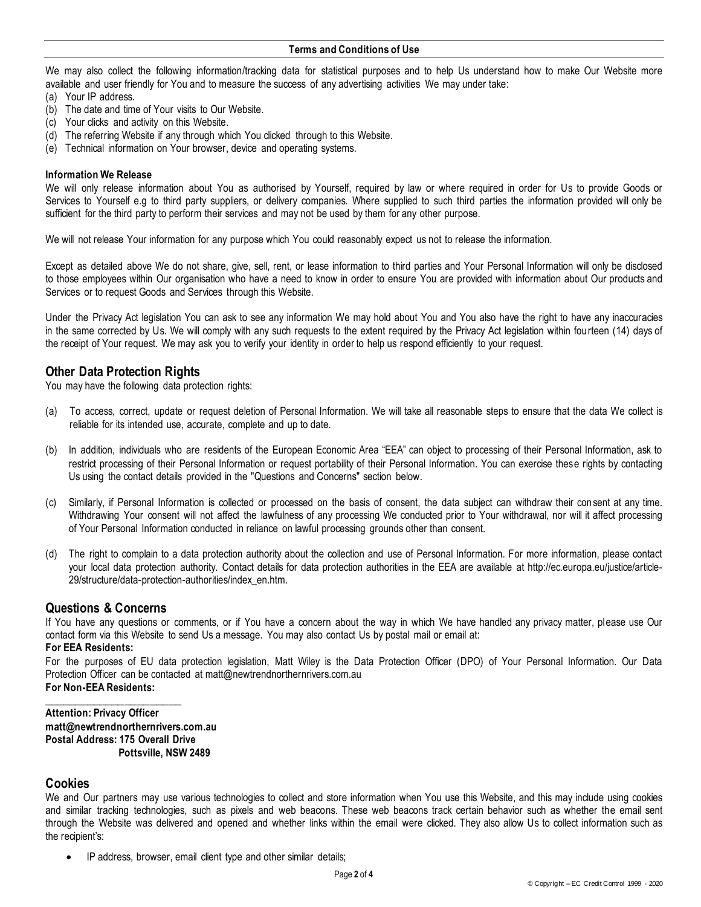We may also collect the following information/tracking data for statistical purposes and to help Us understand how to make Our Website more available and user friendly for You and to measure the success of any advertising activities We may under take:

- (a) Your IP address.
- (b) The date and time of Your visits to Our Website.
- (c) Your clicks and activity on this Website.
- (d) The referring Website if any through which You clicked through to this Website.
- (e) Technical information on Your browser, device and operating systems.

### **Information We Release**

We will only release information about You as authorised by Yourself, required by law or where required in order for Us to provide Goods or Services to Yourself e.g to third party suppliers, or delivery companies. Where supplied to such third parties the information provided will only be sufficient for the third party to perform their services and may not be used by them for any other purpose.

We will not release Your information for any purpose which You could reasonably expect us not to release the information.

Except as detailed above We do not share, give, sell, rent, or lease information to third parties and Your Personal Information will only be disclosed to those employees within Our organisation who have a need to know in order to ensure You are provided with information about Our products and Services or to request Goods and Services through this Website.

Under the Privacy Act legislation You can ask to see any information We may hold about You and You also have the right to have any inaccuracies in the same corrected by Us. We will comply with any such requests to the extent required by the Privacy Act legislation within fourteen (14) days of the receipt of Your request. We may ask you to verify your identity in order to help us respond efficiently to your request.

# **Other Data Protection Rights**

You may have the following data protection rights:

- (a) To access, correct, update or request deletion of Personal Information. We will take all reasonable steps to ensure that the data We collect is reliable for its intended use, accurate, complete and up to date.
- (b) In addition, individuals who are residents of the European Economic Area "EEA" can object to processing of their Personal Information, ask to restrict processing of their Personal Information or request portability of their Personal Information. You can exercise these rights by contacting Us using the contact details provided in the "Questions and Concerns" section below.
- (c) Similarly, if Personal Information is collected or processed on the basis of consent, the data subject can withdraw their consent at any time. Withdrawing Your consent will not affect the lawfulness of any processing We conducted prior to Your withdrawal, nor will it affect processing of Your Personal Information conducted in reliance on lawful processing grounds other than consent.
- (d) The right to complain to a data protection authority about the collection and use of Personal Information. For more information, please contact your local data protection authority. Contact details for data protection authorities in the EEA are available at http://ec.europa.eu/justice/article-29/structure/data-protection-authorities/index\_en.htm.

## **Questions & Concerns**

If You have any questions or comments, or if You have a concern about the way in which We have handled any privacy matter, please use Our contact form via this Website to send Us a message. You may also contact Us by postal mail or email at:

### **For EEA Residents:**

For the purposes of EU data protection legislation, Matt Wiley is the Data Protection Officer (DPO) of Your Personal Information. Our Data Protection Officer can be contacted at matt@newtrendnorthernrivers.com.au **For Non-EEA Residents:**

**\_\_\_\_\_\_\_\_\_\_\_\_\_\_\_\_\_\_\_\_\_\_ Attention: Privacy Officer matt@newtrendnorthernrivers.com.au Postal Address: 175 Overall Drive Pottsville, NSW 2489**

## **Cookies**

We and Our partners may use various technologies to collect and store information when You use this Website, and this may include using cookies and similar tracking technologies, such as pixels and web beacons. These web beacons track certain behavior such as whether the email sent through the Website was delivered and opened and whether links within the email were clicked. They also allow Us to collect information such as the recipient's:

IP address, browser, email client type and other similar details;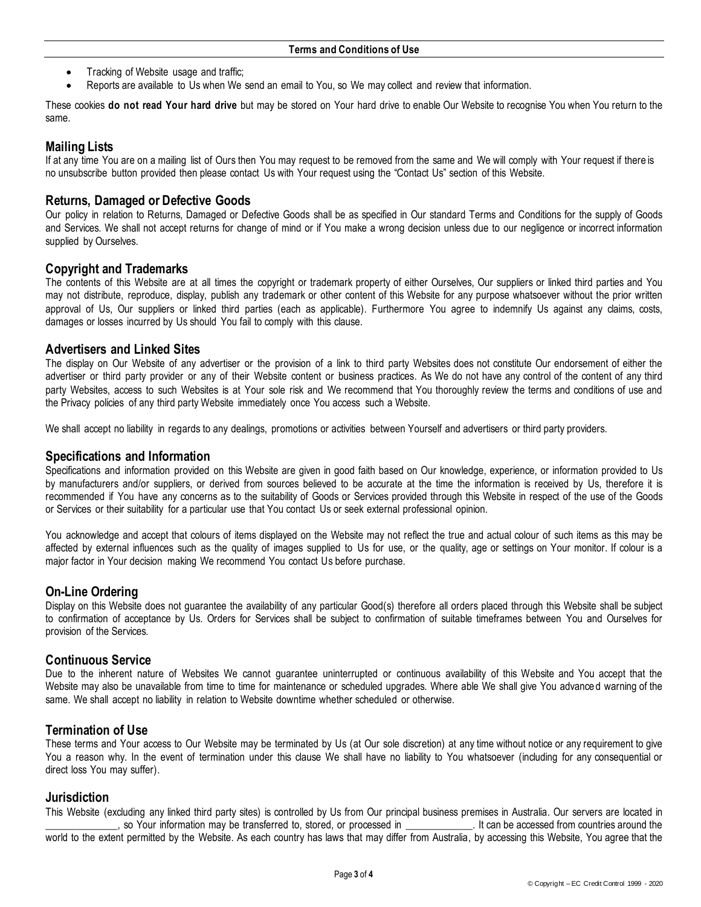- Tracking of Website usage and traffic;
- Reports are available to Us when We send an email to You, so We may collect and review that information.

These cookies **do not read Your hard drive** but may be stored on Your hard drive to enable Our Website to recognise You when You return to the same.

# **Mailing Lists**

If at any time You are on a mailing list of Ours then You may request to be removed from the same and We will comply with Your request if there is no unsubscribe button provided then please contact Us with Your request using the "Contact Us" section of this Website.

## **Returns, Damaged or Defective Goods**

Our policy in relation to Returns, Damaged or Defective Goods shall be as specified in Our standard Terms and Conditions for the supply of Goods and Services. We shall not accept returns for change of mind or if You make a wrong decision unless due to our negligence or incorrect information supplied by Ourselves.

## **Copyright and Trademarks**

The contents of this Website are at all times the copyright or trademark property of either Ourselves, Our suppliers or linked third parties and You may not distribute, reproduce, display, publish any trademark or other content of this Website for any purpose whatsoever without the prior written approval of Us, Our suppliers or linked third parties (each as applicable). Furthermore You agree to indemnify Us against any claims, costs, damages or losses incurred by Us should You fail to comply with this clause.

## **Advertisers and Linked Sites**

The display on Our Website of any advertiser or the provision of a link to third party Websites does not constitute Our endorsement of either the advertiser or third party provider or any of their Website content or business practices. As We do not have any control of the content of any third party Websites, access to such Websites is at Your sole risk and We recommend that You thoroughly review the terms and conditions of use and the Privacy policies of any third party Website immediately once You access such a Website.

We shall accept no liability in regards to any dealings, promotions or activities between Yourself and advertisers or third party providers.

## **Specifications and Information**

Specifications and information provided on this Website are given in good faith based on Our knowledge, experience, or information provided to Us by manufacturers and/or suppliers, or derived from sources believed to be accurate at the time the information is received by Us, therefore it is recommended if You have any concerns as to the suitability of Goods or Services provided through this Website in respect of the use of the Goods or Services or their suitability for a particular use that You contact Us or seek external professional opinion.

You acknowledge and accept that colours of items displayed on the Website may not reflect the true and actual colour of such items as this may be affected by external influences such as the quality of images supplied to Us for use, or the quality, age or settings on Your monitor. If colour is a major factor in Your decision making We recommend You contact Us before purchase.

# **On-Line Ordering**

Display on this Website does not guarantee the availability of any particular Good(s) therefore all orders placed through this Website shall be subject to confirmation of acceptance by Us. Orders for Services shall be subject to confirmation of suitable timeframes between You and Ourselves for provision of the Services.

## **Continuous Service**

Due to the inherent nature of Websites We cannot guarantee uninterrupted or continuous availability of this Website and You accept that the Website may also be unavailable from time to time for maintenance or scheduled upgrades. Where able We shall give You advance d warning of the same. We shall accept no liability in relation to Website downtime whether scheduled or otherwise.

# **Termination of Use**

These terms and Your access to Our Website may be terminated by Us (at Our sole discretion) at any time without notice or any requirement to give You a reason why. In the event of termination under this clause We shall have no liability to You whatsoever (including for any consequential or direct loss You may suffer).

## **Jurisdiction**

This Website (excluding any linked third party sites) is controlled by Us from Our principal business premises in Australia. Our servers are located in so Your information may be transferred to, stored, or processed in  $\Box$  It can be accessed from countries around the world to the extent permitted by the Website. As each country has laws that may differ from Australia, by accessing this Website, You agree that the